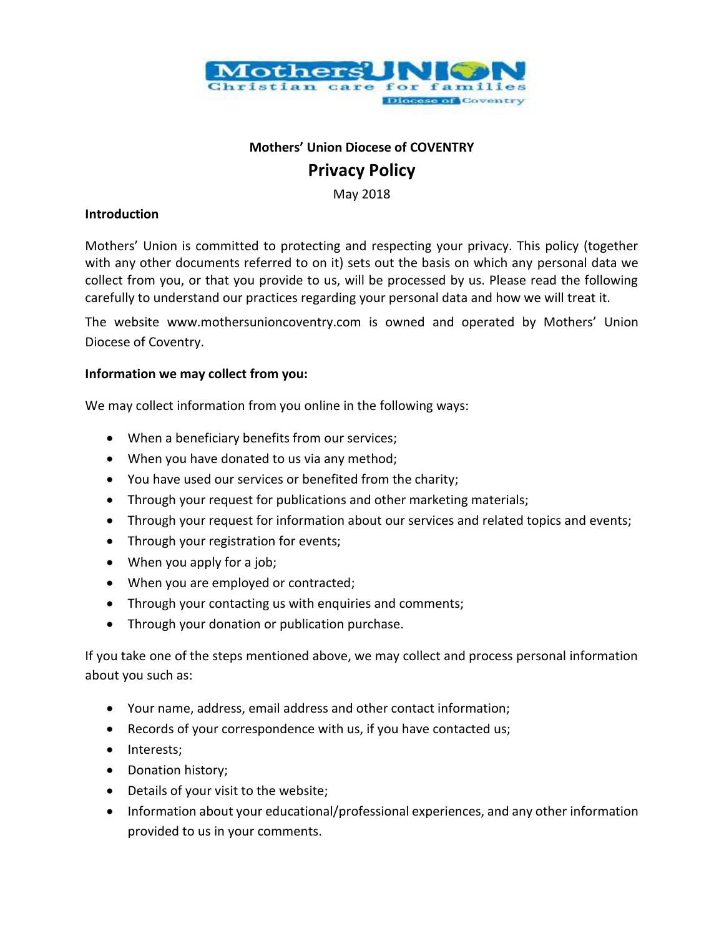

# **Mothers' Union Diocese of COVENTRY Privacy Policy**

May 2018

## **Introduction**

Mothers' Union is committed to protecting and respecting your privacy. This policy (together with any other documents referred to on it) sets out the basis on which any personal data we collect from you, or that you provide to us, will be processed by us. Please read the following carefully to understand our practices regarding your personal data and how we will treat it.

The website www.mothersunioncoventry.com is owned and operated by Mothers' Union Diocese of Coventry.

## **Information we may collect from you:**

We may collect information from you online in the following ways:

- When a beneficiary benefits from our services;
- When you have donated to us via any method;
- You have used our services or benefited from the charity;
- Through your request for publications and other marketing materials;
- Through your request for information about our services and related topics and events;
- Through your registration for events;
- When you apply for a job;
- When you are employed or contracted;
- Through your contacting us with enquiries and comments;
- Through your donation or publication purchase.

If you take one of the steps mentioned above, we may collect and process personal information about you such as:

- Your name, address, email address and other contact information;
- Records of your correspondence with us, if you have contacted us;
- Interests;
- Donation history;
- Details of your visit to the website;
- Information about your educational/professional experiences, and any other information provided to us in your comments.